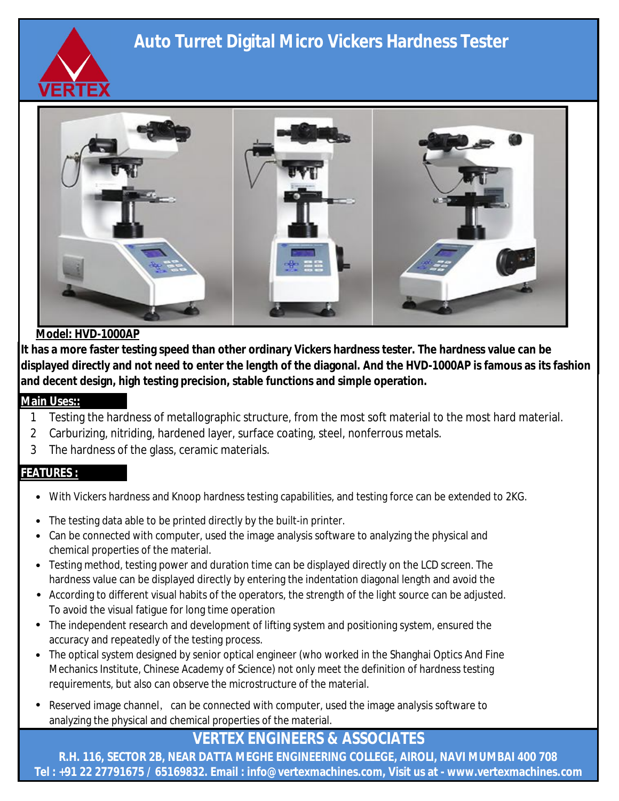# **Auto Turret Digital Micro Vickers Hardness Tester**





### **Model: HVD-1000AP**

**It has a more faster testing speed than other ordinary Vickers hardness tester. The hardness value can be displayed directly and not need to enter the length of the diagonal. And the HVD-1000AP is famous as its fashion and decent design, high testing precision, stable functions and simple operation. operation.**

### **Main Uses::**

- 1 Testing the hardness of metallographic structure, from the most soft material to the most hard material.
- 2 Carburizing, nitriding, hardened layer, surface coating, steel, nonferrous metals.
- 3 The hardness of the glass, ceramic materials.

### **FEATURES :**

- With Vickers hardness and Knoop hardness testing capabilities, and testing force can be extended to 2KG.
- The testing data able to be printed directly by the built-in printer.
- Can be connected with computer, used the image analysis software to analyzing the physical and chemical properties of the material.
- Testing method, testing power and duration time can be displayed directly on the LCD screen. The hardness value can be displayed directly by entering the indentation diagonal length and avoid the
- **According to different visual habits of the operators, the strength of the light source can be adjusted.** To avoid the visual fatigue for long time operation
	- The independent research and development of lifting system and positioning system, ensured the accuracy and repeatedly of the testing process.
	- The optical system designed by senior optical engineer (who worked in the Shanghai Optics And Fine Mechanics Institute, Chinese Academy of Science) not only meet the definition of hardness testing requirements, but also can observe the microstructure of the material.
		- Reserved image channel, can be connected with computer, used the image analysis software to analyzing the physical and chemical properties of the material.

## **VERTEX ENGINEERS & ASSOCIATES**

**R.H. 116, SECTOR 2B, NEAR DATTA MEGHE ENGINEERING COLLEGE, AIROLI, NAVI MUMBAI 400 708 Tel : +91 22 27791675 / 65169832. Email : info@vertexmachines.com, Visit us at - www.vertexmachines.com**